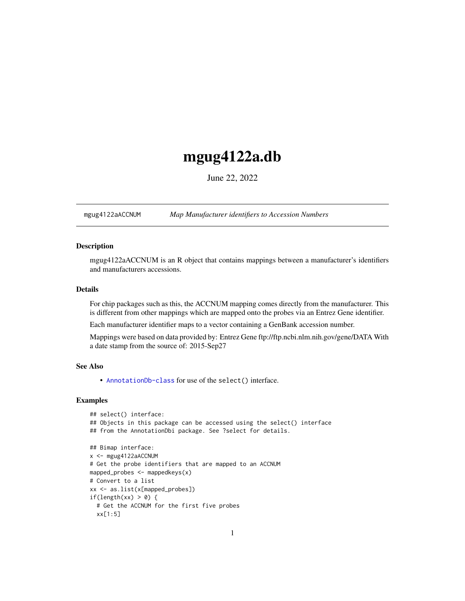## <span id="page-0-1"></span>mgug4122a.db

June 22, 2022

<span id="page-0-0"></span>mgug4122aACCNUM *Map Manufacturer identifiers to Accession Numbers*

## Description

mgug4122aACCNUM is an R object that contains mappings between a manufacturer's identifiers and manufacturers accessions.

## Details

For chip packages such as this, the ACCNUM mapping comes directly from the manufacturer. This is different from other mappings which are mapped onto the probes via an Entrez Gene identifier.

Each manufacturer identifier maps to a vector containing a GenBank accession number.

Mappings were based on data provided by: Entrez Gene ftp://ftp.ncbi.nlm.nih.gov/gene/DATA With a date stamp from the source of: 2015-Sep27

## See Also

• AnnotationDb-class for use of the select() interface.

```
## select() interface:
## Objects in this package can be accessed using the select() interface
## from the AnnotationDbi package. See ?select for details.
## Bimap interface:
x <- mgug4122aACCNUM
# Get the probe identifiers that are mapped to an ACCNUM
mapped_probes <- mappedkeys(x)
# Convert to a list
xx <- as.list(x[mapped_probes])
if(length(xx) > 0) {
 # Get the ACCNUM for the first five probes
 xx[1:5]
```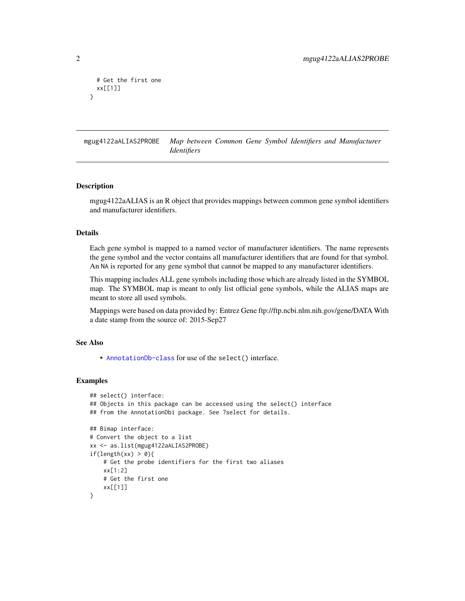```
# Get the first one
 xx[[1]]
}
```
mgug4122aALIAS2PROBE *Map between Common Gene Symbol Identifiers and Manufacturer Identifiers*

#### Description

mgug4122aALIAS is an R object that provides mappings between common gene symbol identifiers and manufacturer identifiers.

## Details

Each gene symbol is mapped to a named vector of manufacturer identifiers. The name represents the gene symbol and the vector contains all manufacturer identifiers that are found for that symbol. An NA is reported for any gene symbol that cannot be mapped to any manufacturer identifiers.

This mapping includes ALL gene symbols including those which are already listed in the SYMBOL map. The SYMBOL map is meant to only list official gene symbols, while the ALIAS maps are meant to store all used symbols.

Mappings were based on data provided by: Entrez Gene ftp://ftp.ncbi.nlm.nih.gov/gene/DATA With a date stamp from the source of: 2015-Sep27

## See Also

• [AnnotationDb-class](#page-0-0) for use of the select() interface.

```
## select() interface:
## Objects in this package can be accessed using the select() interface
## from the AnnotationDbi package. See ?select for details.
## Bimap interface:
# Convert the object to a list
xx <- as.list(mgug4122aALIAS2PROBE)
if(length(xx) > 0){
    # Get the probe identifiers for the first two aliases
   xx[1:2]
   # Get the first one
   xx[[1]]
}
```
<span id="page-1-0"></span>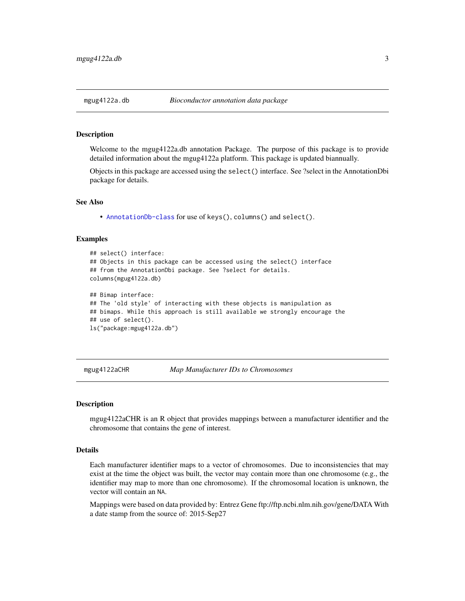<span id="page-2-0"></span>

## Description

Welcome to the mgug4122a.db annotation Package. The purpose of this package is to provide detailed information about the mgug4122a platform. This package is updated biannually.

Objects in this package are accessed using the select() interface. See ?select in the AnnotationDbi package for details.

#### See Also

• [AnnotationDb-class](#page-0-0) for use of keys(), columns() and select().

## Examples

```
## select() interface:
## Objects in this package can be accessed using the select() interface
## from the AnnotationDbi package. See ?select for details.
columns(mgug4122a.db)
## Bimap interface:
## The 'old style' of interacting with these objects is manipulation as
## bimaps. While this approach is still available we strongly encourage the
## use of select().
ls("package:mgug4122a.db")
```
mgug4122aCHR *Map Manufacturer IDs to Chromosomes*

#### **Description**

mgug4122aCHR is an R object that provides mappings between a manufacturer identifier and the chromosome that contains the gene of interest.

## Details

Each manufacturer identifier maps to a vector of chromosomes. Due to inconsistencies that may exist at the time the object was built, the vector may contain more than one chromosome (e.g., the identifier may map to more than one chromosome). If the chromosomal location is unknown, the vector will contain an NA.

Mappings were based on data provided by: Entrez Gene ftp://ftp.ncbi.nlm.nih.gov/gene/DATA With a date stamp from the source of: 2015-Sep27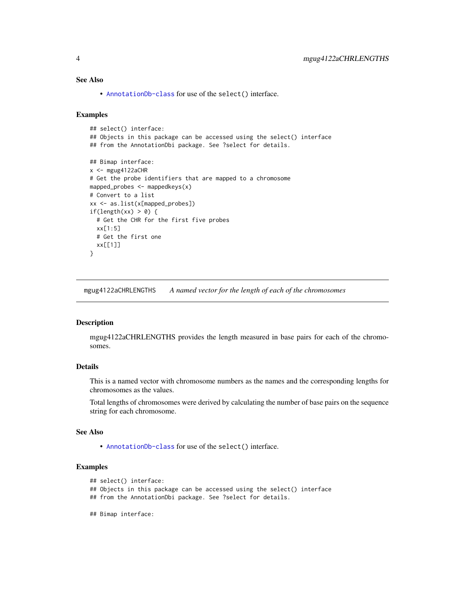## <span id="page-3-0"></span>See Also

• [AnnotationDb-class](#page-0-0) for use of the select() interface.

## Examples

```
## select() interface:
## Objects in this package can be accessed using the select() interface
## from the AnnotationDbi package. See ?select for details.
## Bimap interface:
x < - mgug4122aCHR
# Get the probe identifiers that are mapped to a chromosome
mapped_probes <- mappedkeys(x)
# Convert to a list
xx <- as.list(x[mapped_probes])
if(length(xx) > 0) {
  # Get the CHR for the first five probes
  xx[1:5]
  # Get the first one
  xx[[1]]
}
```
mgug4122aCHRLENGTHS *A named vector for the length of each of the chromosomes*

#### **Description**

mgug4122aCHRLENGTHS provides the length measured in base pairs for each of the chromosomes.

## Details

This is a named vector with chromosome numbers as the names and the corresponding lengths for chromosomes as the values.

Total lengths of chromosomes were derived by calculating the number of base pairs on the sequence string for each chromosome.

## See Also

• [AnnotationDb-class](#page-0-0) for use of the select() interface.

```
## select() interface:
```
- ## Objects in this package can be accessed using the select() interface
- ## from the AnnotationDbi package. See ?select for details.
- ## Bimap interface: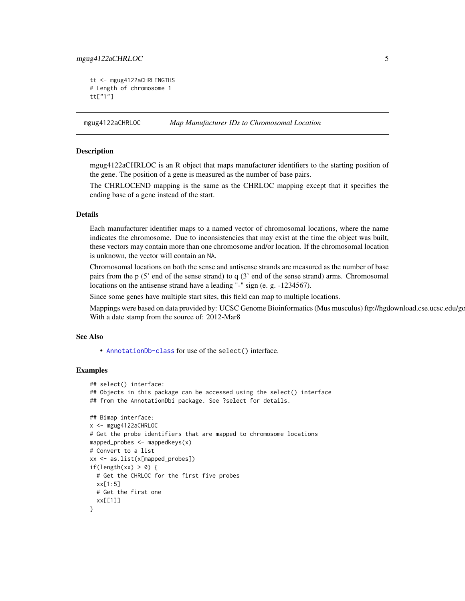## <span id="page-4-0"></span>mgug4122aCHRLOC 5

```
tt <- mgug4122aCHRLENGTHS
# Length of chromosome 1
tt["1"]
```
mgug4122aCHRLOC *Map Manufacturer IDs to Chromosomal Location*

## Description

mgug4122aCHRLOC is an R object that maps manufacturer identifiers to the starting position of the gene. The position of a gene is measured as the number of base pairs.

The CHRLOCEND mapping is the same as the CHRLOC mapping except that it specifies the ending base of a gene instead of the start.

#### Details

Each manufacturer identifier maps to a named vector of chromosomal locations, where the name indicates the chromosome. Due to inconsistencies that may exist at the time the object was built, these vectors may contain more than one chromosome and/or location. If the chromosomal location is unknown, the vector will contain an NA.

Chromosomal locations on both the sense and antisense strands are measured as the number of base pairs from the p (5' end of the sense strand) to q (3' end of the sense strand) arms. Chromosomal locations on the antisense strand have a leading "-" sign (e. g. -1234567).

Since some genes have multiple start sites, this field can map to multiple locations.

Mappings were based on data provided by: UCSC Genome Bioinformatics (Mus musculus) ftp://hgdownload.cse.ucsc.edu/go With a date stamp from the source of: 2012-Mar8

## See Also

• [AnnotationDb-class](#page-0-0) for use of the select() interface.

```
## select() interface:
## Objects in this package can be accessed using the select() interface
## from the AnnotationDbi package. See ?select for details.
## Bimap interface:
x <- mgug4122aCHRLOC
# Get the probe identifiers that are mapped to chromosome locations
mapped_probes <- mappedkeys(x)
# Convert to a list
xx <- as.list(x[mapped_probes])
if(length(xx) > 0) {
 # Get the CHRLOC for the first five probes
 xx[1:5]
 # Get the first one
 xx[[1]]
}
```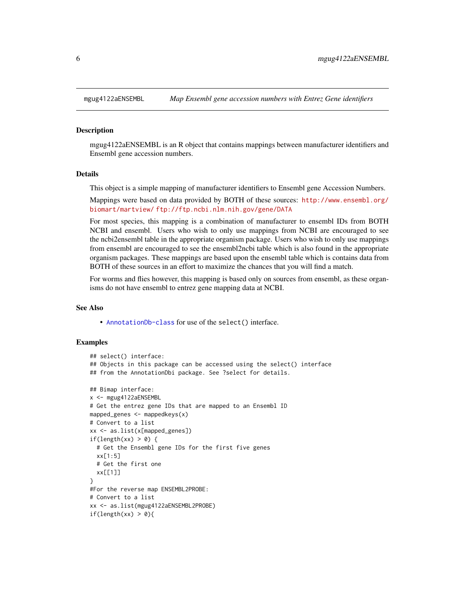<span id="page-5-0"></span>

## Description

mgug4122aENSEMBL is an R object that contains mappings between manufacturer identifiers and Ensembl gene accession numbers.

## Details

This object is a simple mapping of manufacturer identifiers to Ensembl gene Accession Numbers.

Mappings were based on data provided by BOTH of these sources: [http://www.ensembl.org/](http://www.ensembl.org/biomart/martview/) [biomart/martview/](http://www.ensembl.org/biomart/martview/) <ftp://ftp.ncbi.nlm.nih.gov/gene/DATA>

For most species, this mapping is a combination of manufacturer to ensembl IDs from BOTH NCBI and ensembl. Users who wish to only use mappings from NCBI are encouraged to see the ncbi2ensembl table in the appropriate organism package. Users who wish to only use mappings from ensembl are encouraged to see the ensembl2ncbi table which is also found in the appropriate organism packages. These mappings are based upon the ensembl table which is contains data from BOTH of these sources in an effort to maximize the chances that you will find a match.

For worms and flies however, this mapping is based only on sources from ensembl, as these organisms do not have ensembl to entrez gene mapping data at NCBI.

#### See Also

• [AnnotationDb-class](#page-0-0) for use of the select() interface.

```
## select() interface:
## Objects in this package can be accessed using the select() interface
## from the AnnotationDbi package. See ?select for details.
## Bimap interface:
x <- mgug4122aENSEMBL
# Get the entrez gene IDs that are mapped to an Ensembl ID
mapped_genes \leq mappedkeys(x)
# Convert to a list
xx <- as.list(x[mapped_genes])
if(length(xx) > 0) {
 # Get the Ensembl gene IDs for the first five genes
 xx[1:5]
 # Get the first one
 xx[[1]]
}
#For the reverse map ENSEMBL2PROBE:
# Convert to a list
xx <- as.list(mgug4122aENSEMBL2PROBE)
if(length(xx) > 0){
```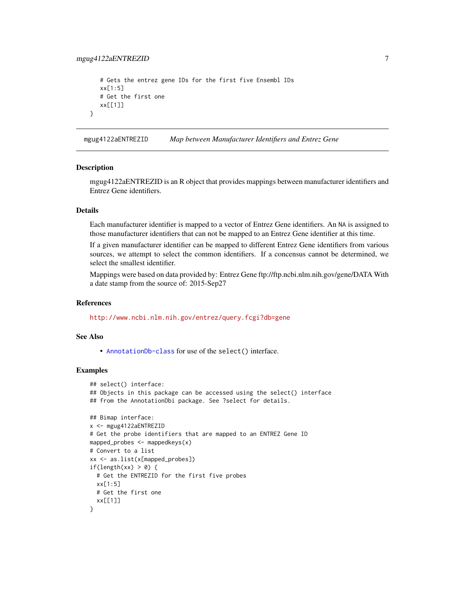## <span id="page-6-0"></span>mgug4122aENTREZID 7

```
# Gets the entrez gene IDs for the first five Ensembl IDs
xx[1:5]
# Get the first one
xx[[1]]
```
mgug4122aENTREZID *Map between Manufacturer Identifiers and Entrez Gene*

#### **Description**

}

mgug4122aENTREZID is an R object that provides mappings between manufacturer identifiers and Entrez Gene identifiers.

## Details

Each manufacturer identifier is mapped to a vector of Entrez Gene identifiers. An NA is assigned to those manufacturer identifiers that can not be mapped to an Entrez Gene identifier at this time.

If a given manufacturer identifier can be mapped to different Entrez Gene identifiers from various sources, we attempt to select the common identifiers. If a concensus cannot be determined, we select the smallest identifier.

Mappings were based on data provided by: Entrez Gene ftp://ftp.ncbi.nlm.nih.gov/gene/DATA With a date stamp from the source of: 2015-Sep27

#### References

<http://www.ncbi.nlm.nih.gov/entrez/query.fcgi?db=gene>

## See Also

• [AnnotationDb-class](#page-0-0) for use of the select() interface.

```
## select() interface:
## Objects in this package can be accessed using the select() interface
## from the AnnotationDbi package. See ?select for details.
## Bimap interface:
x <- mgug4122aENTREZID
# Get the probe identifiers that are mapped to an ENTREZ Gene ID
mapped_probes <- mappedkeys(x)
# Convert to a list
xx <- as.list(x[mapped_probes])
if(length(xx) > 0) {
  # Get the ENTREZID for the first five probes
  xx[1:5]
  # Get the first one
  xx[[1]]
}
```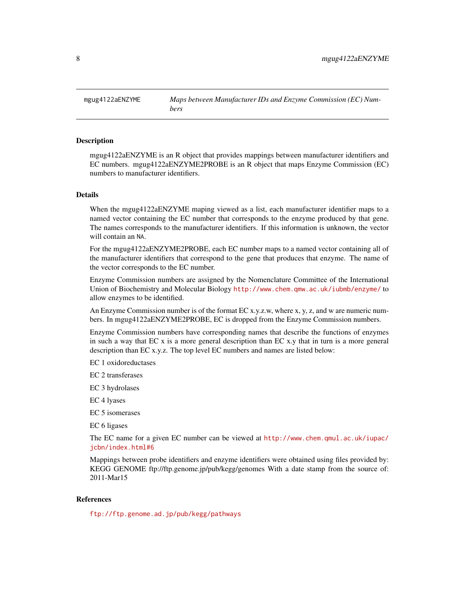<span id="page-7-0"></span>mgug4122aENZYME *Maps between Manufacturer IDs and Enzyme Commission (EC) Numbers*

## Description

mgug4122aENZYME is an R object that provides mappings between manufacturer identifiers and EC numbers. mgug4122aENZYME2PROBE is an R object that maps Enzyme Commission (EC) numbers to manufacturer identifiers.

## Details

When the mgug4122aENZYME maping viewed as a list, each manufacturer identifier maps to a named vector containing the EC number that corresponds to the enzyme produced by that gene. The names corresponds to the manufacturer identifiers. If this information is unknown, the vector will contain an NA.

For the mgug4122aENZYME2PROBE, each EC number maps to a named vector containing all of the manufacturer identifiers that correspond to the gene that produces that enzyme. The name of the vector corresponds to the EC number.

Enzyme Commission numbers are assigned by the Nomenclature Committee of the International Union of Biochemistry and Molecular Biology <http://www.chem.qmw.ac.uk/iubmb/enzyme/> to allow enzymes to be identified.

An Enzyme Commission number is of the format EC x.y.z.w, where x, y, z, and w are numeric numbers. In mgug4122aENZYME2PROBE, EC is dropped from the Enzyme Commission numbers.

Enzyme Commission numbers have corresponding names that describe the functions of enzymes in such a way that EC x is a more general description than EC x.y that in turn is a more general description than EC x.y.z. The top level EC numbers and names are listed below:

EC 1 oxidoreductases

EC 2 transferases

EC 3 hydrolases

EC 4 lyases

EC 5 isomerases

EC 6 ligases

The EC name for a given EC number can be viewed at [http://www.chem.qmul.ac.uk/iupac/](http://www.chem.qmul.ac.uk/iupac/jcbn/index.html#6) [jcbn/index.html#6](http://www.chem.qmul.ac.uk/iupac/jcbn/index.html#6)

Mappings between probe identifiers and enzyme identifiers were obtained using files provided by: KEGG GENOME ftp://ftp.genome.jp/pub/kegg/genomes With a date stamp from the source of: 2011-Mar15

## References

<ftp://ftp.genome.ad.jp/pub/kegg/pathways>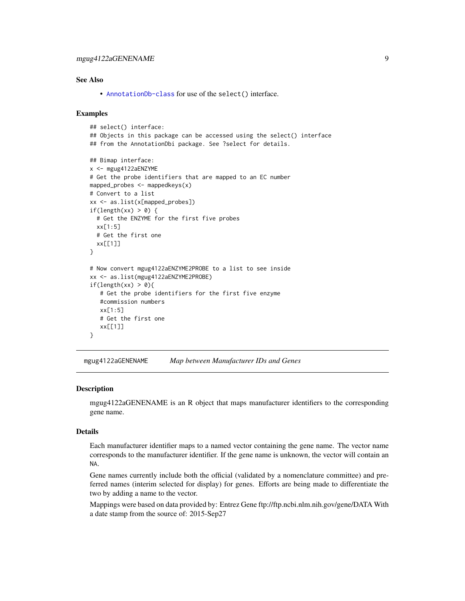## <span id="page-8-0"></span>See Also

• [AnnotationDb-class](#page-0-0) for use of the select() interface.

## Examples

```
## select() interface:
## Objects in this package can be accessed using the select() interface
## from the AnnotationDbi package. See ?select for details.
## Bimap interface:
x <- mgug4122aENZYME
# Get the probe identifiers that are mapped to an EC number
mapped_probes <- mappedkeys(x)
# Convert to a list
xx <- as.list(x[mapped_probes])
if(length(xx) > 0) {
  # Get the ENZYME for the first five probes
  xx[1:5]
  # Get the first one
  xx[[1]]
}
# Now convert mgug4122aENZYME2PROBE to a list to see inside
xx <- as.list(mgug4122aENZYME2PROBE)
if(length(xx) > 0){
   # Get the probe identifiers for the first five enzyme
   #commission numbers
   xx[1:5]
   # Get the first one
   xx[[1]]
}
```
mgug4122aGENENAME *Map between Manufacturer IDs and Genes*

## Description

mgug4122aGENENAME is an R object that maps manufacturer identifiers to the corresponding gene name.

## Details

Each manufacturer identifier maps to a named vector containing the gene name. The vector name corresponds to the manufacturer identifier. If the gene name is unknown, the vector will contain an NA.

Gene names currently include both the official (validated by a nomenclature committee) and preferred names (interim selected for display) for genes. Efforts are being made to differentiate the two by adding a name to the vector.

Mappings were based on data provided by: Entrez Gene ftp://ftp.ncbi.nlm.nih.gov/gene/DATA With a date stamp from the source of: 2015-Sep27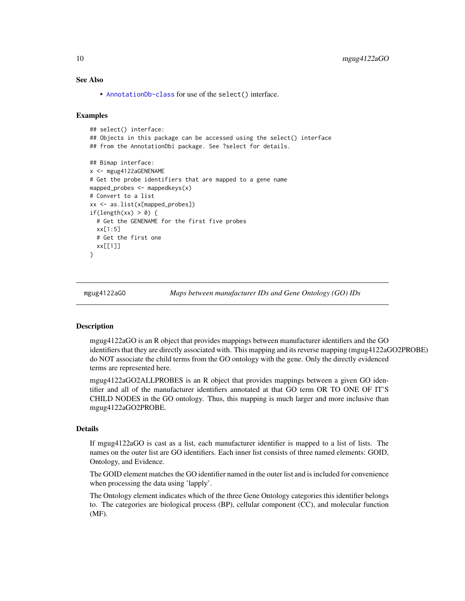## See Also

• [AnnotationDb-class](#page-0-0) for use of the select() interface.

#### Examples

```
## select() interface:
## Objects in this package can be accessed using the select() interface
## from the AnnotationDbi package. See ?select for details.
## Bimap interface:
x <- mgug4122aGENENAME
# Get the probe identifiers that are mapped to a gene name
mapped_probes <- mappedkeys(x)
# Convert to a list
xx <- as.list(x[mapped_probes])
if(length(xx) > 0) {
 # Get the GENENAME for the first five probes
 xx[1:5]
 # Get the first one
 xx[[1]]
}
```
mgug4122aGO *Maps between manufacturer IDs and Gene Ontology (GO) IDs*

## <span id="page-9-0"></span>Description

mgug4122aGO is an R object that provides mappings between manufacturer identifiers and the GO identifiers that they are directly associated with. This mapping and its reverse mapping (mgug4122aGO2PROBE) do NOT associate the child terms from the GO ontology with the gene. Only the directly evidenced terms are represented here.

mgug4122aGO2ALLPROBES is an R object that provides mappings between a given GO identifier and all of the manufacturer identifiers annotated at that GO term OR TO ONE OF IT'S CHILD NODES in the GO ontology. Thus, this mapping is much larger and more inclusive than mgug4122aGO2PROBE.

## Details

If mgug4122aGO is cast as a list, each manufacturer identifier is mapped to a list of lists. The names on the outer list are GO identifiers. Each inner list consists of three named elements: GOID, Ontology, and Evidence.

The GOID element matches the GO identifier named in the outer list and is included for convenience when processing the data using 'lapply'.

The Ontology element indicates which of the three Gene Ontology categories this identifier belongs to. The categories are biological process (BP), cellular component (CC), and molecular function (MF).

<span id="page-9-1"></span>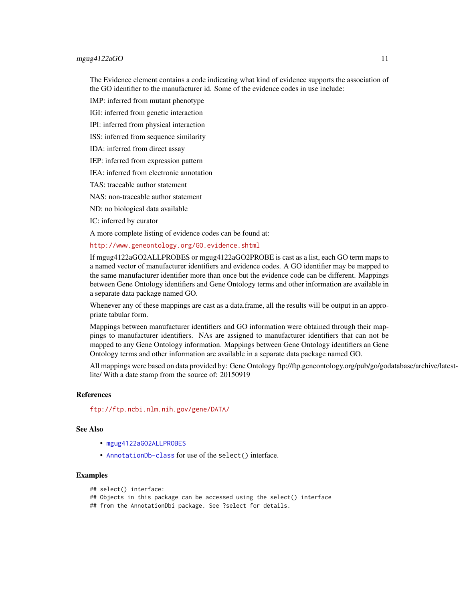## <span id="page-10-0"></span> $mgug4122aGO$  11

The Evidence element contains a code indicating what kind of evidence supports the association of the GO identifier to the manufacturer id. Some of the evidence codes in use include:

IMP: inferred from mutant phenotype

IGI: inferred from genetic interaction

IPI: inferred from physical interaction

ISS: inferred from sequence similarity

IDA: inferred from direct assay

IEP: inferred from expression pattern

IEA: inferred from electronic annotation

TAS: traceable author statement

NAS: non-traceable author statement

ND: no biological data available

IC: inferred by curator

A more complete listing of evidence codes can be found at:

<http://www.geneontology.org/GO.evidence.shtml>

If mgug4122aGO2ALLPROBES or mgug4122aGO2PROBE is cast as a list, each GO term maps to a named vector of manufacturer identifiers and evidence codes. A GO identifier may be mapped to the same manufacturer identifier more than once but the evidence code can be different. Mappings between Gene Ontology identifiers and Gene Ontology terms and other information are available in a separate data package named GO.

Whenever any of these mappings are cast as a data.frame, all the results will be output in an appropriate tabular form.

Mappings between manufacturer identifiers and GO information were obtained through their mappings to manufacturer identifiers. NAs are assigned to manufacturer identifiers that can not be mapped to any Gene Ontology information. Mappings between Gene Ontology identifiers an Gene Ontology terms and other information are available in a separate data package named GO.

All mappings were based on data provided by: Gene Ontology ftp://ftp.geneontology.org/pub/go/godatabase/archive/latestlite/ With a date stamp from the source of: 20150919

## References

<ftp://ftp.ncbi.nlm.nih.gov/gene/DATA/>

## See Also

- [mgug4122aGO2ALLPROBES](#page-9-0)
- [AnnotationDb-class](#page-0-0) for use of the select() interface.

## Examples

```
## select() interface:
```
## Objects in this package can be accessed using the select() interface

## from the AnnotationDbi package. See ?select for details.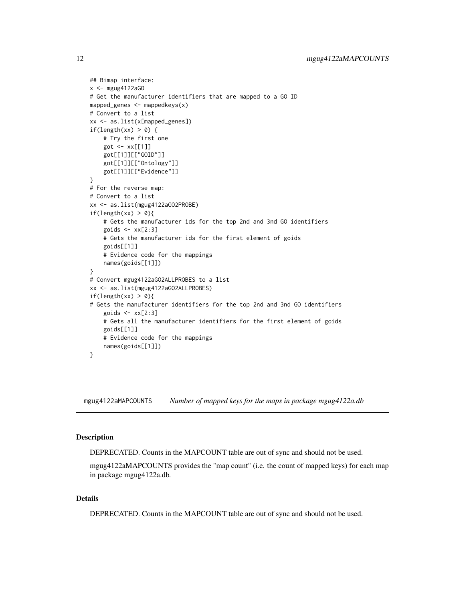```
## Bimap interface:
x < - mgug4122aGO
# Get the manufacturer identifiers that are mapped to a GO ID
mapped_genes \leq mappedkeys(x)
# Convert to a list
xx <- as.list(x[mapped_genes])
if(length(xx) > 0) {
    # Try the first one
    got <- xx[[1]]
    got[[1]][["GOID"]]
    got[[1]][["Ontology"]]
    got[[1]][["Evidence"]]
}
# For the reverse map:
# Convert to a list
xx <- as.list(mgug4122aGO2PROBE)
if(length(xx) > 0){
    # Gets the manufacturer ids for the top 2nd and 3nd GO identifiers
    goids \leq -x \times [2:3]# Gets the manufacturer ids for the first element of goids
    goids[[1]]
    # Evidence code for the mappings
    names(goids[[1]])
}
# Convert mgug4122aGO2ALLPROBES to a list
xx <- as.list(mgug4122aGO2ALLPROBES)
if(length(xx) > 0){
# Gets the manufacturer identifiers for the top 2nd and 3nd GO identifiers
    goids \leq -x \times [2:3]# Gets all the manufacturer identifiers for the first element of goids
    goids[[1]]
    # Evidence code for the mappings
    names(goids[[1]])
}
```
mgug4122aMAPCOUNTS *Number of mapped keys for the maps in package mgug4122a.db*

## **Description**

DEPRECATED. Counts in the MAPCOUNT table are out of sync and should not be used.

mgug4122aMAPCOUNTS provides the "map count" (i.e. the count of mapped keys) for each map in package mgug4122a.db.

## Details

DEPRECATED. Counts in the MAPCOUNT table are out of sync and should not be used.

<span id="page-11-0"></span>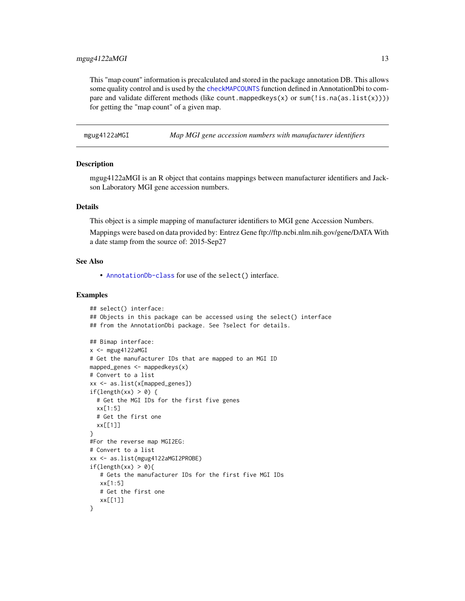## <span id="page-12-0"></span>mgug4122aMGI 13

This "map count" information is precalculated and stored in the package annotation DB. This allows some quality control and is used by the [checkMAPCOUNTS](#page-0-0) function defined in AnnotationDbi to compare and validate different methods (like count.mappedkeys(x) or sum(!is.na(as.list(x)))) for getting the "map count" of a given map.

mgug4122aMGI *Map MGI gene accession numbers with manufacturer identifiers*

## **Description**

mgug4122aMGI is an R object that contains mappings between manufacturer identifiers and Jackson Laboratory MGI gene accession numbers.

## Details

This object is a simple mapping of manufacturer identifiers to MGI gene Accession Numbers.

Mappings were based on data provided by: Entrez Gene ftp://ftp.ncbi.nlm.nih.gov/gene/DATA With a date stamp from the source of: 2015-Sep27

## See Also

• [AnnotationDb-class](#page-0-0) for use of the select() interface.

```
## select() interface:
## Objects in this package can be accessed using the select() interface
## from the AnnotationDbi package. See ?select for details.
## Bimap interface:
x < - mgug4122aMGI
# Get the manufacturer IDs that are mapped to an MGI ID
mapped_genes \leq mappedkeys(x)
# Convert to a list
xx <- as.list(x[mapped_genes])
if(length(xx) > 0) {
  # Get the MGI IDs for the first five genes
  xx[1:5]
  # Get the first one
  xx[[1]]
}
#For the reverse map MGI2EG:
# Convert to a list
xx <- as.list(mgug4122aMGI2PROBE)
if(length(xx) > 0)# Gets the manufacturer IDs for the first five MGI IDs
   xx[1:5]# Get the first one
   xx[[1]]
}
```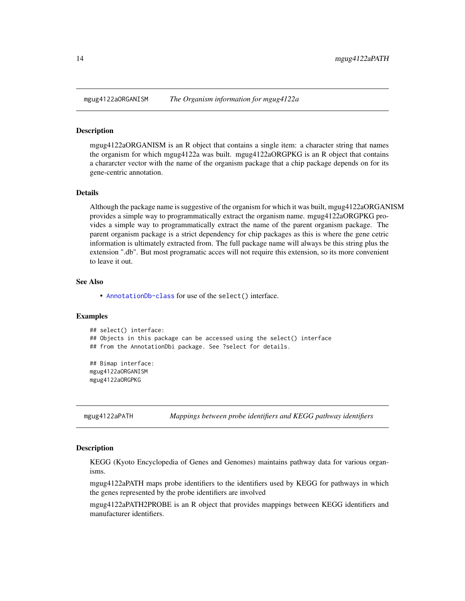<span id="page-13-0"></span>

#### **Description**

mgug4122aORGANISM is an R object that contains a single item: a character string that names the organism for which mgug4122a was built. mgug4122aORGPKG is an R object that contains a chararcter vector with the name of the organism package that a chip package depends on for its gene-centric annotation.

## Details

Although the package name is suggestive of the organism for which it was built, mgug4122aORGANISM provides a simple way to programmatically extract the organism name. mgug4122aORGPKG provides a simple way to programmatically extract the name of the parent organism package. The parent organism package is a strict dependency for chip packages as this is where the gene cetric information is ultimately extracted from. The full package name will always be this string plus the extension ".db". But most programatic acces will not require this extension, so its more convenient to leave it out.

## See Also

• [AnnotationDb-class](#page-0-0) for use of the select() interface.

## Examples

## select() interface: ## Objects in this package can be accessed using the select() interface ## from the AnnotationDbi package. See ?select for details. ## Bimap interface:

mgug4122aORGANISM mgug4122aORGPKG

mgug4122aPATH *Mappings between probe identifiers and KEGG pathway identifiers*

#### Description

KEGG (Kyoto Encyclopedia of Genes and Genomes) maintains pathway data for various organisms.

mgug4122aPATH maps probe identifiers to the identifiers used by KEGG for pathways in which the genes represented by the probe identifiers are involved

mgug4122aPATH2PROBE is an R object that provides mappings between KEGG identifiers and manufacturer identifiers.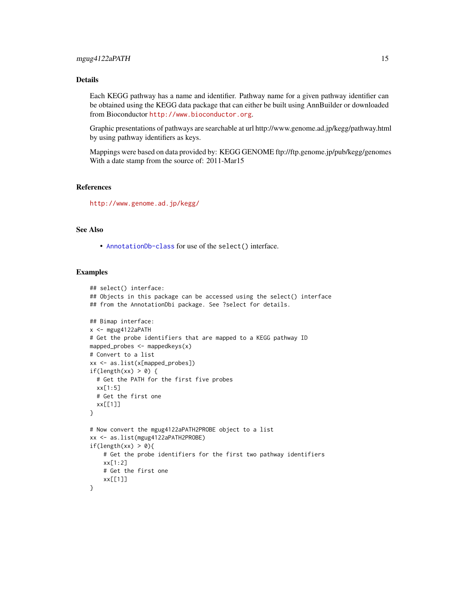## Details

Each KEGG pathway has a name and identifier. Pathway name for a given pathway identifier can be obtained using the KEGG data package that can either be built using AnnBuilder or downloaded from Bioconductor <http://www.bioconductor.org>.

Graphic presentations of pathways are searchable at url http://www.genome.ad.jp/kegg/pathway.html by using pathway identifiers as keys.

Mappings were based on data provided by: KEGG GENOME ftp://ftp.genome.jp/pub/kegg/genomes With a date stamp from the source of: 2011-Mar15

## References

<http://www.genome.ad.jp/kegg/>

## See Also

• [AnnotationDb-class](#page-0-0) for use of the select() interface.

```
## select() interface:
## Objects in this package can be accessed using the select() interface
## from the AnnotationDbi package. See ?select for details.
## Bimap interface:
x <- mgug4122aPATH
# Get the probe identifiers that are mapped to a KEGG pathway ID
mapped_probes <- mappedkeys(x)
# Convert to a list
xx <- as.list(x[mapped_probes])
if(length(xx) > 0) {
  # Get the PATH for the first five probes
  xx[1:5]
  # Get the first one
  xx[[1]]
}
# Now convert the mgug4122aPATH2PROBE object to a list
xx <- as.list(mgug4122aPATH2PROBE)
if(length(xx) > 0){
    # Get the probe identifiers for the first two pathway identifiers
    xx[1:2]
    # Get the first one
    xx[[1]]
}
```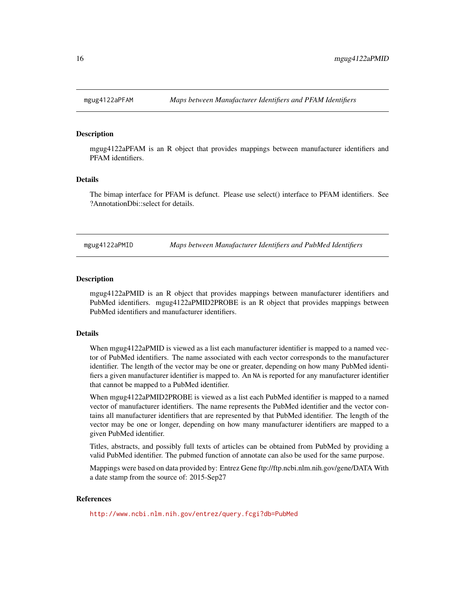<span id="page-15-0"></span>

## **Description**

mgug4122aPFAM is an R object that provides mappings between manufacturer identifiers and PFAM identifiers.

## Details

The bimap interface for PFAM is defunct. Please use select() interface to PFAM identifiers. See ?AnnotationDbi::select for details.

mgug4122aPMID *Maps between Manufacturer Identifiers and PubMed Identifiers*

#### Description

mgug4122aPMID is an R object that provides mappings between manufacturer identifiers and PubMed identifiers. mgug4122aPMID2PROBE is an R object that provides mappings between PubMed identifiers and manufacturer identifiers.

## **Details**

When mgug4122aPMID is viewed as a list each manufacturer identifier is mapped to a named vector of PubMed identifiers. The name associated with each vector corresponds to the manufacturer identifier. The length of the vector may be one or greater, depending on how many PubMed identifiers a given manufacturer identifier is mapped to. An NA is reported for any manufacturer identifier that cannot be mapped to a PubMed identifier.

When mgug4122aPMID2PROBE is viewed as a list each PubMed identifier is mapped to a named vector of manufacturer identifiers. The name represents the PubMed identifier and the vector contains all manufacturer identifiers that are represented by that PubMed identifier. The length of the vector may be one or longer, depending on how many manufacturer identifiers are mapped to a given PubMed identifier.

Titles, abstracts, and possibly full texts of articles can be obtained from PubMed by providing a valid PubMed identifier. The pubmed function of annotate can also be used for the same purpose.

Mappings were based on data provided by: Entrez Gene ftp://ftp.ncbi.nlm.nih.gov/gene/DATA With a date stamp from the source of: 2015-Sep27

## References

<http://www.ncbi.nlm.nih.gov/entrez/query.fcgi?db=PubMed>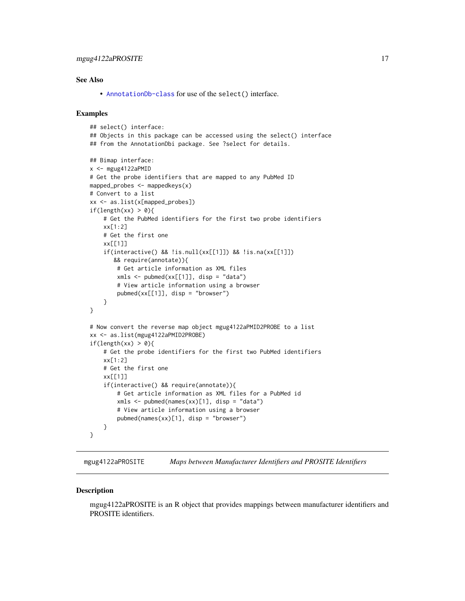## <span id="page-16-0"></span>mgug4122aPROSITE 17

## See Also

• [AnnotationDb-class](#page-0-0) for use of the select() interface.

## Examples

```
## select() interface:
## Objects in this package can be accessed using the select() interface
## from the AnnotationDbi package. See ?select for details.
## Bimap interface:
x <- mgug4122aPMID# Get the probe identifiers that are mapped to any PubMed ID
mapped_probes <- mappedkeys(x)
# Convert to a list
xx <- as.list(x[mapped_probes])
if(length(xx) > 0)# Get the PubMed identifiers for the first two probe identifiers
    xx[1:2]
    # Get the first one
    xx[[1]]
    if(interactive() && !is.null(xx[[1]]) && !is.na(xx[[1]])
       && require(annotate)){
        # Get article information as XML files
        xmls \leftarrow \text{pubmed}(xx[[1]], \text{disp} = "data")# View article information using a browser
        pubmed(xx[[1]], disp = "browser")
    }
}
# Now convert the reverse map object mgug4122aPMID2PROBE to a list
xx <- as.list(mgug4122aPMID2PROBE)
if(length(xx) > 0){
    # Get the probe identifiers for the first two PubMed identifiers
    xx[1:2]
    # Get the first one
    xx[[1]]
    if(interactive() && require(annotate)){
        # Get article information as XML files for a PubMed id
        xmls <- pubmed(names(xx)[1], disp = "data")
        # View article information using a browser
        pubmed(names(xx)[1], disp = "browser")}
}
```
mgug4122aPROSITE *Maps between Manufacturer Identifiers and PROSITE Identifiers*

#### **Description**

mgug4122aPROSITE is an R object that provides mappings between manufacturer identifiers and PROSITE identifiers.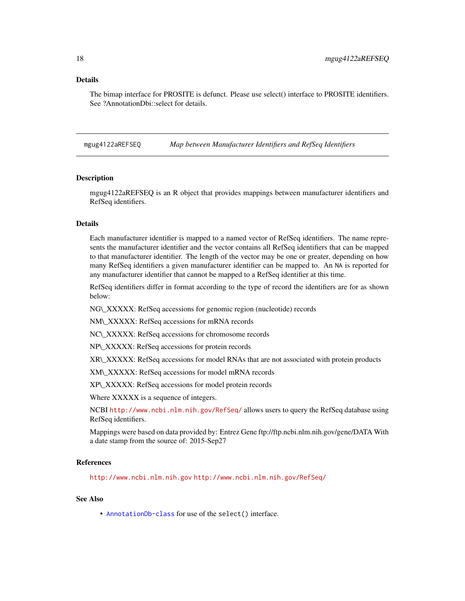## <span id="page-17-0"></span>Details

The bimap interface for PROSITE is defunct. Please use select() interface to PROSITE identifiers. See ?AnnotationDbi::select for details.

mgug4122aREFSEQ *Map between Manufacturer Identifiers and RefSeq Identifiers*

## **Description**

mgug4122aREFSEQ is an R object that provides mappings between manufacturer identifiers and RefSeq identifiers.

#### Details

Each manufacturer identifier is mapped to a named vector of RefSeq identifiers. The name represents the manufacturer identifier and the vector contains all RefSeq identifiers that can be mapped to that manufacturer identifier. The length of the vector may be one or greater, depending on how many RefSeq identifiers a given manufacturer identifier can be mapped to. An NA is reported for any manufacturer identifier that cannot be mapped to a RefSeq identifier at this time.

RefSeq identifiers differ in format according to the type of record the identifiers are for as shown below:

NG\\_XXXXX: RefSeq accessions for genomic region (nucleotide) records

NM\\_XXXXX: RefSeq accessions for mRNA records

NC\\_XXXXX: RefSeq accessions for chromosome records

NP\\_XXXXX: RefSeq accessions for protein records

XR\\_XXXXX: RefSeq accessions for model RNAs that are not associated with protein products

XM\\_XXXXX: RefSeq accessions for model mRNA records

XP\\_XXXXX: RefSeq accessions for model protein records

Where XXXXX is a sequence of integers.

NCBI <http://www.ncbi.nlm.nih.gov/RefSeq/> allows users to query the RefSeq database using RefSeq identifiers.

Mappings were based on data provided by: Entrez Gene ftp://ftp.ncbi.nlm.nih.gov/gene/DATA With a date stamp from the source of: 2015-Sep27

#### References

<http://www.ncbi.nlm.nih.gov> <http://www.ncbi.nlm.nih.gov/RefSeq/>

## See Also

• [AnnotationDb-class](#page-0-0) for use of the select() interface.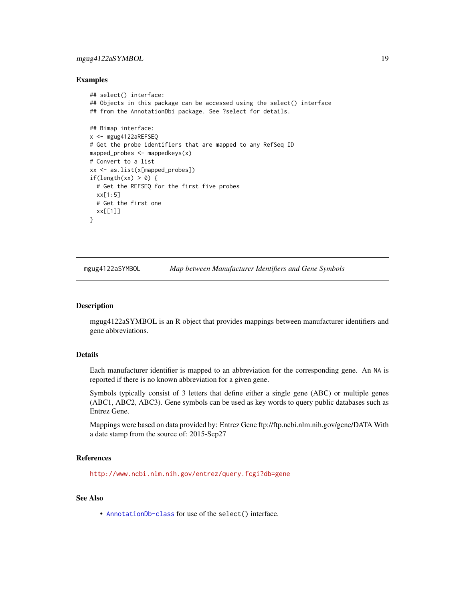## <span id="page-18-0"></span>mgug4122aSYMBOL 19

## Examples

```
## select() interface:
## Objects in this package can be accessed using the select() interface
## from the AnnotationDbi package. See ?select for details.
## Bimap interface:
x <- mgug4122aREFSEQ
# Get the probe identifiers that are mapped to any RefSeq ID
mapped_probes <- mappedkeys(x)
# Convert to a list
xx <- as.list(x[mapped_probes])
if(length(xx) > 0) {
  # Get the REFSEQ for the first five probes
  xx[1:5]
  # Get the first one
  xx[[1]]
}
```
mgug4122aSYMBOL *Map between Manufacturer Identifiers and Gene Symbols*

## Description

mgug4122aSYMBOL is an R object that provides mappings between manufacturer identifiers and gene abbreviations.

## Details

Each manufacturer identifier is mapped to an abbreviation for the corresponding gene. An NA is reported if there is no known abbreviation for a given gene.

Symbols typically consist of 3 letters that define either a single gene (ABC) or multiple genes (ABC1, ABC2, ABC3). Gene symbols can be used as key words to query public databases such as Entrez Gene.

Mappings were based on data provided by: Entrez Gene ftp://ftp.ncbi.nlm.nih.gov/gene/DATA With a date stamp from the source of: 2015-Sep27

## References

<http://www.ncbi.nlm.nih.gov/entrez/query.fcgi?db=gene>

## See Also

• [AnnotationDb-class](#page-0-0) for use of the select() interface.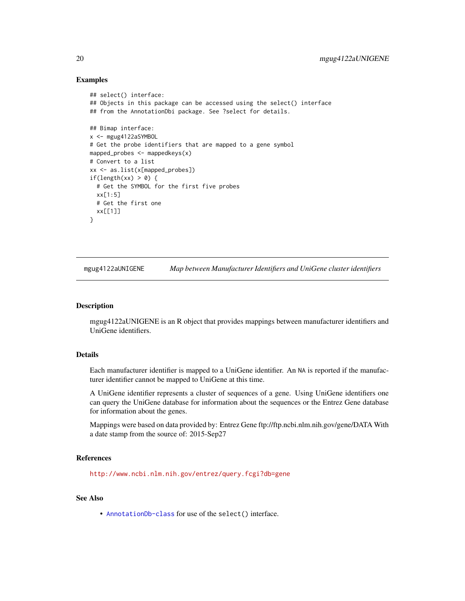## Examples

```
## select() interface:
## Objects in this package can be accessed using the select() interface
## from the AnnotationDbi package. See ?select for details.
## Bimap interface:
x <- mgug4122aSYMBOL
# Get the probe identifiers that are mapped to a gene symbol
mapped_probes <- mappedkeys(x)
# Convert to a list
xx <- as.list(x[mapped_probes])
if(length(xx) > 0) {
  # Get the SYMBOL for the first five probes
  xx[1:5]
  # Get the first one
  xx[[1]]
}
```
mgug4122aUNIGENE *Map between Manufacturer Identifiers and UniGene cluster identifiers*

## Description

mgug4122aUNIGENE is an R object that provides mappings between manufacturer identifiers and UniGene identifiers.

## Details

Each manufacturer identifier is mapped to a UniGene identifier. An NA is reported if the manufacturer identifier cannot be mapped to UniGene at this time.

A UniGene identifier represents a cluster of sequences of a gene. Using UniGene identifiers one can query the UniGene database for information about the sequences or the Entrez Gene database for information about the genes.

Mappings were based on data provided by: Entrez Gene ftp://ftp.ncbi.nlm.nih.gov/gene/DATA With a date stamp from the source of: 2015-Sep27

#### References

<http://www.ncbi.nlm.nih.gov/entrez/query.fcgi?db=gene>

## See Also

• [AnnotationDb-class](#page-0-0) for use of the select() interface.

<span id="page-19-0"></span>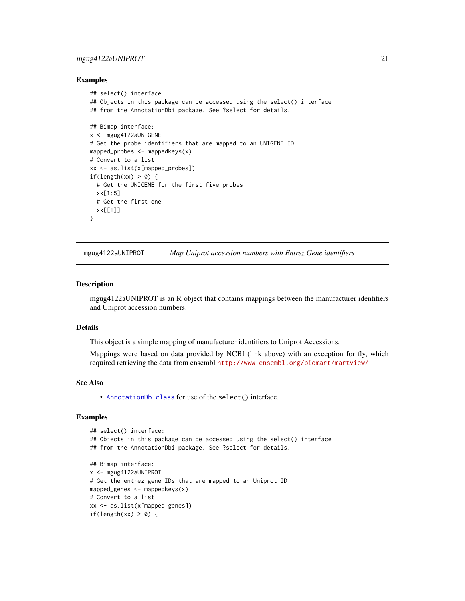## <span id="page-20-0"></span>mgug4122aUNIPROT 21

## Examples

```
## select() interface:
## Objects in this package can be accessed using the select() interface
## from the AnnotationDbi package. See ?select for details.
## Bimap interface:
x <- mgug4122aUNIGENE
# Get the probe identifiers that are mapped to an UNIGENE ID
mapped_probes <- mappedkeys(x)
# Convert to a list
xx <- as.list(x[mapped_probes])
if(length(xx) > 0) {
  # Get the UNIGENE for the first five probes
  xx[1:5]
  # Get the first one
  xx[[1]]
}
```
mgug4122aUNIPROT *Map Uniprot accession numbers with Entrez Gene identifiers*

## Description

mgug4122aUNIPROT is an R object that contains mappings between the manufacturer identifiers and Uniprot accession numbers.

## Details

This object is a simple mapping of manufacturer identifiers to Uniprot Accessions.

Mappings were based on data provided by NCBI (link above) with an exception for fly, which required retrieving the data from ensembl <http://www.ensembl.org/biomart/martview/>

## See Also

• [AnnotationDb-class](#page-0-0) for use of the select() interface.

```
## select() interface:
## Objects in this package can be accessed using the select() interface
## from the AnnotationDbi package. See ?select for details.
## Bimap interface:
x <- mgug4122aUNIPROT
# Get the entrez gene IDs that are mapped to an Uniprot ID
mapped_genes <- mappedkeys(x)
# Convert to a list
xx <- as.list(x[mapped_genes])
if(length(xx) > 0) {
```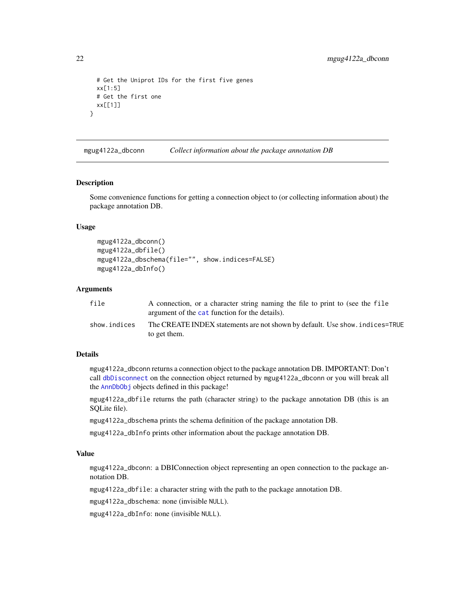```
# Get the Uniprot IDs for the first five genes
 xx[1:5]
 # Get the first one
 xx[[1]]
}
```
mgug4122a\_dbconn *Collect information about the package annotation DB*

#### Description

Some convenience functions for getting a connection object to (or collecting information about) the package annotation DB.

## Usage

```
mgug4122a_dbconn()
mgug4122a_dbfile()
mgug4122a_dbschema(file="", show.indices=FALSE)
mgug4122a_dbInfo()
```
## **Arguments**

| file         | A connection, or a character string naming the file to print to (see the file<br>argument of the cat function for the details). |
|--------------|---------------------------------------------------------------------------------------------------------------------------------|
| show.indices | The CREATE INDEX statements are not shown by default. Use show, indices=TRUE<br>to get them.                                    |

## Details

mgug4122a\_dbconn returns a connection object to the package annotation DB. IMPORTANT: Don't call [dbDisconnect](#page-0-0) on the connection object returned by mgug4122a\_dbconn or you will break all the [AnnDbObj](#page-0-0) objects defined in this package!

mgug4122a\_dbfile returns the path (character string) to the package annotation DB (this is an SQLite file).

mgug4122a\_dbschema prints the schema definition of the package annotation DB.

mgug4122a\_dbInfo prints other information about the package annotation DB.

## Value

mgug4122a\_dbconn: a DBIConnection object representing an open connection to the package annotation DB.

mgug4122a\_dbfile: a character string with the path to the package annotation DB.

mgug4122a\_dbschema: none (invisible NULL).

mgug4122a\_dbInfo: none (invisible NULL).

<span id="page-21-0"></span>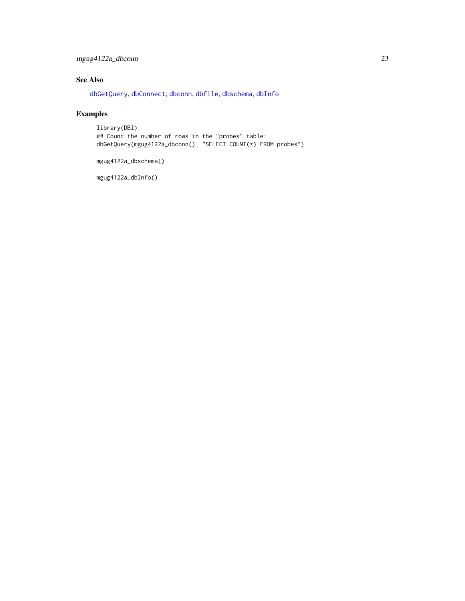## <span id="page-22-0"></span>mgug4122a\_dbconn 23

## See Also

[dbGetQuery](#page-0-0), [dbConnect](#page-0-0), [dbconn](#page-0-0), [dbfile](#page-0-0), [dbschema](#page-0-0), [dbInfo](#page-0-0)

## Examples

library(DBI) ## Count the number of rows in the "probes" table: dbGetQuery(mgug4122a\_dbconn(), "SELECT COUNT(\*) FROM probes")

mgug4122a\_dbschema()

mgug4122a\_dbInfo()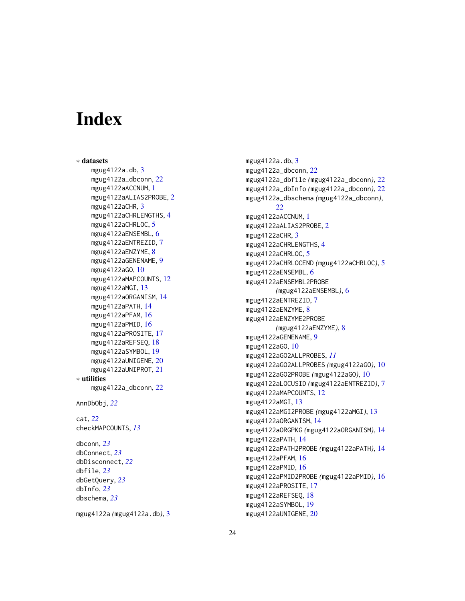# Index

∗ datasets mgug4122a.db, <mark>[3](#page-2-0)</mark> mgug4122a\_dbconn , [22](#page-21-0) mgug4122aACCNUM , [1](#page-0-1) mgug41[2](#page-1-0)2aALIAS2PROBE,2 mgug4122aCHR, [3](#page-2-0) mgug[4](#page-3-0)122aCHRLENGTHS, 4 mgug4122aCHRLOC, [5](#page-4-0) mgug4122aENSEMBL, [6](#page-5-0) mgug4122aENTREZID , [7](#page-6-0) mgug4122aENZYME, [8](#page-7-0) mgug4122aGENENAME , [9](#page-8-0) mgug4122aGO , [10](#page-9-1) mgug4[12](#page-11-0)2aMAPCOUNTS, 12 mgug4122aMGI, [13](#page-12-0) mgug4122aORGANISM , [14](#page-13-0) mgug4122aPATH , [14](#page-13-0) mgug4122aPFAM , [16](#page-15-0) mgug4122aPMID , [16](#page-15-0) mgug4122aPROSITE , [17](#page-16-0) mgug4122aREFSEQ , [18](#page-17-0) mgug4122aSYMBOL , [19](#page-18-0) mgug4122aUNIGENE , [20](#page-19-0) mgug4122aUNIPROT , [21](#page-20-0) ∗ utilities mgug4122a\_dbconn , [22](#page-21-0) AnnDbObj , *[22](#page-21-0)* cat , *[22](#page-21-0)* checkMAPCOUNTS , *[13](#page-12-0)* dbconn , *[23](#page-22-0)* dbConnect , *[23](#page-22-0)* dbDisconnect , *[22](#page-21-0)* dbfile , *[23](#page-22-0)* dbGetQuery , *[23](#page-22-0)* dbInfo , *[23](#page-22-0)* dbschema , *[23](#page-22-0)*

mgug4122a *(*mgug4122a.db *)* , [3](#page-2-0)

mgug4122a.db, <mark>[3](#page-2-0)</mark> mgug4122a\_dbconn , [22](#page-21-0) mgug4122a\_dbfile *(*mgug4122a\_dbconn *)* , [22](#page-21-0) mgug4122a\_dbInfo *(*mgug4122a\_dbconn *)* , [22](#page-21-0) mgug4122a\_dbschema *(*mgug4122a\_dbconn *)* ,  $22$ mgug4[1](#page-0-1)22aACCNUM, 1 mgug4122aALIAS2PROBE , [2](#page-1-0) mgug4122aCHR, [3](#page-2-0) mgug[4](#page-3-0)122aCHRLENGTHS, 4 mgug4122aCHRLOC, <mark>[5](#page-4-0)</mark> mgug4122aCHRLOCEND *(*mgug4122aCHRLOC *)* , [5](#page-4-0) mgug4122aENSEMBL, [6](#page-5-0) mgug4122aENSEMBL2PROBE *(*mgug4122aENSEMBL *)* , [6](#page-5-0) mgug4122aENTREZID , [7](#page-6-0) mgug4122aENZYME, [8](#page-7-0) mgug4122aENZYME2PROBE *(*mgug4122aENZYME *)* , [8](#page-7-0) mgug4122aGENENAME , [9](#page-8-0) mgug4122aGO , [10](#page-9-1) mgug4122aGO2ALLPROBES , *[11](#page-10-0)* mgug4122aGO2ALLPROBES *(*mgug4122aGO *)* , [10](#page-9-1) mgug4122aGO2PROBE *(*mgug4122aGO *)* , [10](#page-9-1) mgug4122aLOCUSID *(*mgug4122aENTREZID *)* , [7](#page-6-0) mgug4122aMAPCOUNTS , [12](#page-11-0) mgug4122aMGI, [13](#page-12-0) mgug4122aMGI2PROBE *(*mgug4122aMGI *)* , [13](#page-12-0) mgug4122aORGANISM , [14](#page-13-0) mgug4122aORGPKG *(*mgug4122aORGANISM *)* , [14](#page-13-0) mgug4122aPATH , [14](#page-13-0) mgug4122aPATH2PROBE *(*mgug4122aPATH *)* , [14](#page-13-0) mgug4122aPFAM , [16](#page-15-0) mgug4122aPMID, [16](#page-15-0) mgug4122aPMID2PROBE *(*mgug4122aPMID *)* , [16](#page-15-0) mgug4122aPROSITE , [17](#page-16-0) mgug4122aREFSEQ , [18](#page-17-0) mgug4122aSYMBOL , [19](#page-18-0) mgug4122aUNIGENE , [20](#page-19-0)